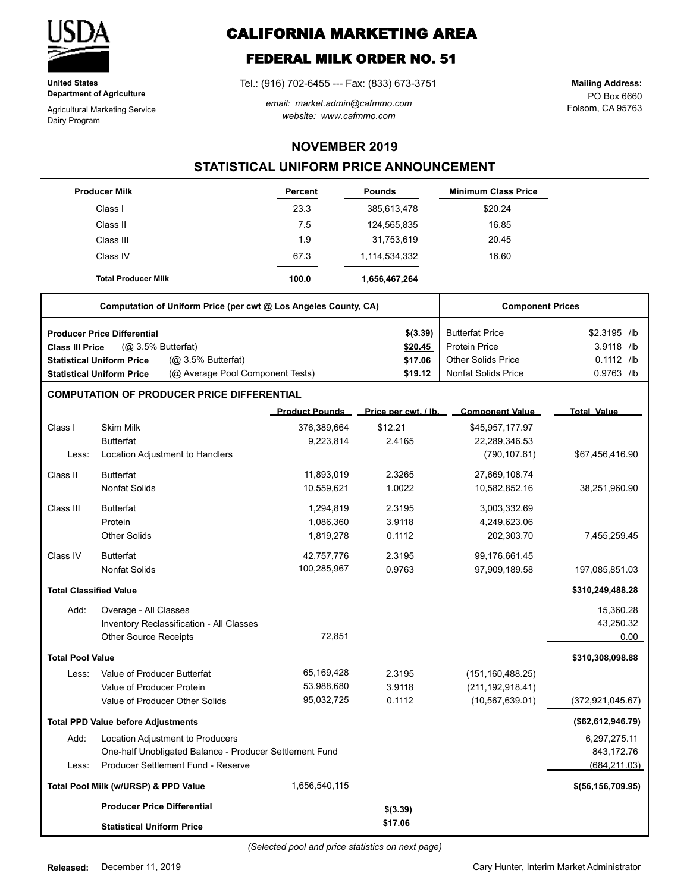

**United States Department of Agriculture**

Agricultural Marketing Service Dairy Program

# **CALIFORNIA MARKETING AREA**

# **FEDERAL MILK ORDER NO. 51**

Tel.: (916) 702-6455 --- Fax: (833) 673-3751

*email: market.admin@cafmmo.com website: www.cafmmo.com*

PO Box 6660 Folsom, CA 95763 **Mailing Address:**

### **NOVEMBER 2019**

## **STATISTICAL UNIFORM PRICE ANNOUNCEMENT**

|                               | <b>Producer Milk</b>                                                 | Percent               | <b>Pounds</b>        | <b>Minimum Class Price</b> |                     |
|-------------------------------|----------------------------------------------------------------------|-----------------------|----------------------|----------------------------|---------------------|
|                               | Class I                                                              | 23.3                  | 385,613,478          | \$20.24                    |                     |
|                               | Class II                                                             | 7.5                   | 124,565,835          | 16.85                      |                     |
|                               | Class III                                                            | 1.9                   | 31,753,619           | 20.45                      |                     |
|                               | Class IV                                                             | 67.3                  | 1,114,534,332        | 16.60                      |                     |
|                               | <b>Total Producer Milk</b>                                           | 100.0                 | 1,656,467,264        |                            |                     |
|                               | Computation of Uniform Price (per cwt @ Los Angeles County, CA)      |                       |                      | <b>Component Prices</b>    |                     |
|                               | <b>Producer Price Differential</b>                                   |                       | \$(3.39)             | <b>Butterfat Price</b>     | \$2.3195 /lb        |
| <b>Class III Price</b>        | (Q <sub>2</sub> 3.5% Butterfat)                                      |                       | \$20.45              | <b>Protein Price</b>       | 3.9118 /lb          |
|                               | (Q <sub>2</sub> 3.5% Butterfat)<br><b>Statistical Uniform Price</b>  |                       | \$17.06              | <b>Other Solids Price</b>  | $0.1112$ /lb        |
|                               | (@ Average Pool Component Tests)<br><b>Statistical Uniform Price</b> |                       | \$19.12              | <b>Nonfat Solids Price</b> | 0.9763 /lb          |
|                               | <b>COMPUTATION OF PRODUCER PRICE DIFFERENTIAL</b>                    |                       |                      |                            |                     |
|                               |                                                                      | <b>Product Pounds</b> | Price per cwt. / lb. | <b>Component Value</b>     | <b>Total Value</b>  |
| Class I                       | <b>Skim Milk</b>                                                     | 376,389,664           | \$12.21              | \$45,957,177.97            |                     |
|                               | <b>Butterfat</b>                                                     | 9,223,814             | 2.4165               | 22,289,346.53              |                     |
| Less:                         | Location Adjustment to Handlers                                      |                       |                      | (790, 107.61)              | \$67,456,416.90     |
| Class II                      | <b>Butterfat</b>                                                     | 11,893,019            | 2.3265               | 27,669,108.74              |                     |
|                               | <b>Nonfat Solids</b>                                                 | 10,559,621            | 1.0022               | 10,582,852.16              | 38,251,960.90       |
| Class III                     | <b>Butterfat</b>                                                     | 1,294,819             | 2.3195               | 3,003,332.69               |                     |
|                               | Protein                                                              | 1,086,360             | 3.9118               | 4,249,623.06               |                     |
|                               | <b>Other Solids</b>                                                  | 1,819,278             | 0.1112               | 202,303.70                 | 7,455,259.45        |
| Class IV                      | <b>Butterfat</b>                                                     | 42,757,776            | 2.3195               | 99,176,661.45              |                     |
|                               | <b>Nonfat Solids</b>                                                 | 100,285,967           | 0.9763               | 97,909,189.58              | 197,085,851.03      |
| <b>Total Classified Value</b> |                                                                      |                       |                      |                            | \$310,249,488.28    |
| Add:                          | Overage - All Classes                                                |                       |                      |                            | 15,360.28           |
|                               | Inventory Reclassification - All Classes                             |                       |                      |                            | 43,250.32           |
|                               | <b>Other Source Receipts</b>                                         | 72,851                |                      |                            | 0.00                |
| <b>Total Pool Value</b>       |                                                                      |                       |                      |                            | \$310,308,098.88    |
| Less:                         | Value of Producer Butterfat                                          | 65,169,428            | 2.3195               | (151, 160, 488.25)         |                     |
|                               | Value of Producer Protein                                            | 53,988,680            | 3.9118               | (211, 192, 918.41)         |                     |
|                               | Value of Producer Other Solids                                       | 95,032,725            | 0.1112               | (10, 567, 639.01)          | (372, 921, 045.67)  |
|                               | <b>Total PPD Value before Adjustments</b>                            |                       |                      |                            | (\$62,612,946.79)   |
| Add:                          | Location Adjustment to Producers                                     |                       |                      |                            | 6,297,275.11        |
|                               | One-half Unobligated Balance - Producer Settlement Fund              |                       |                      |                            | 843,172.76          |
| Less:                         | Producer Settlement Fund - Reserve                                   |                       |                      |                            | (684, 211.03)       |
|                               | Total Pool Milk (w/URSP) & PPD Value                                 | 1,656,540,115         |                      |                            | \$(56, 156, 709.95) |
|                               | <b>Producer Price Differential</b>                                   |                       | \$(3.39)             |                            |                     |
|                               | <b>Statistical Uniform Price</b>                                     |                       | \$17.06              |                            |                     |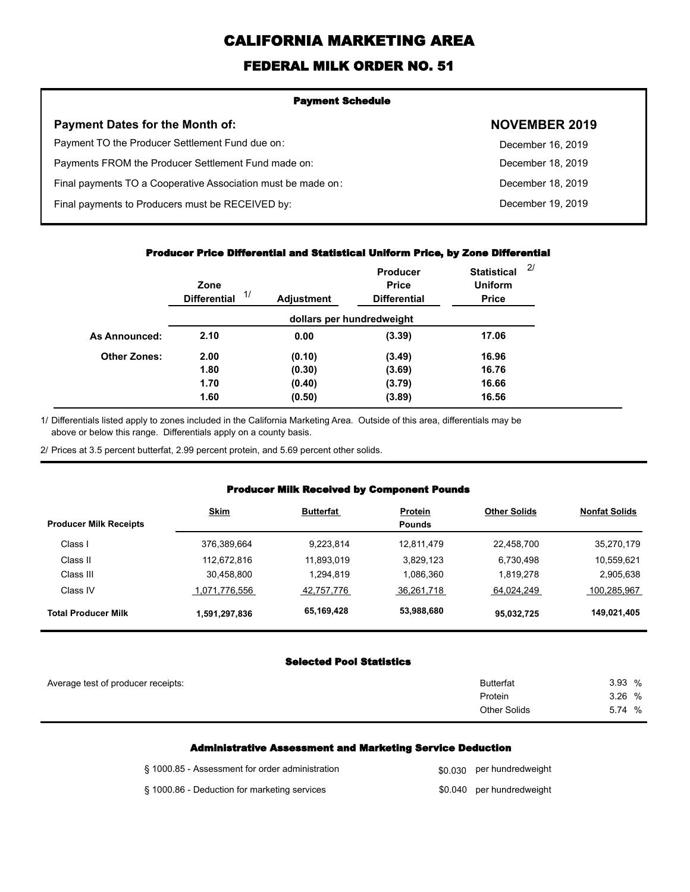# **CALIFORNIA MARKETING AREA**

## **FEDERAL MILK ORDER NO. 51**

| <b>Payment Schedule</b>                                      |                      |  |  |
|--------------------------------------------------------------|----------------------|--|--|
| <b>Payment Dates for the Month of:</b>                       | <b>NOVEMBER 2019</b> |  |  |
| Payment TO the Producer Settlement Fund due on:              | December 16, 2019    |  |  |
| Payments FROM the Producer Settlement Fund made on:          | December 18, 2019    |  |  |
| Final payments TO a Cooperative Association must be made on: | December 18, 2019    |  |  |
| Final payments to Producers must be RECEIVED by:             | December 19, 2019    |  |  |
|                                                              |                      |  |  |

#### **Producer Price Differential and Statistical Uniform Price, by Zone Differential**

|                     | Zone<br>1/<br><b>Differential</b> | <b>Adjustment</b> | <b>Producer</b><br><b>Price</b><br><b>Differential</b> | <b>Statistical</b><br><b>Uniform</b><br><b>Price</b> | 2/ |
|---------------------|-----------------------------------|-------------------|--------------------------------------------------------|------------------------------------------------------|----|
|                     |                                   |                   | dollars per hundredweight                              |                                                      |    |
| As Announced:       | 2.10                              | 0.00              | (3.39)                                                 | 17.06                                                |    |
| <b>Other Zones:</b> | 2.00                              | (0.10)            | (3.49)                                                 | 16.96                                                |    |
|                     | 1.80                              | (0.30)            | (3.69)                                                 | 16.76                                                |    |
|                     | 1.70                              | (0.40)            | (3.79)                                                 | 16.66                                                |    |
|                     | 1.60                              | (0.50)            | (3.89)                                                 | 16.56                                                |    |

Differentials listed apply to zones included in the California Marketing Area. Outside of this area, differentials may be above or below this range. Differentials apply on a county basis. 1/

2/ Prices at 3.5 percent butterfat, 2.99 percent protein, and 5.69 percent other solids.

### **Producer Milk Received by Component Pounds**

|                               | <b>Skim</b>   | <b>Butterfat</b> | <b>Protein</b> | <b>Other Solids</b> | <b>Nonfat Solids</b> |
|-------------------------------|---------------|------------------|----------------|---------------------|----------------------|
| <b>Producer Milk Receipts</b> |               |                  | <b>Pounds</b>  |                     |                      |
| Class I                       | 376,389,664   | 9.223.814        | 12,811,479     | 22,458,700          | 35,270,179           |
| Class II                      | 112,672,816   | 11.893.019       | 3,829,123      | 6.730.498           | 10,559,621           |
| Class III                     | 30,458,800    | 1.294.819        | 1,086,360      | 1.819.278           | 2,905,638            |
| Class IV                      | 1,071,776,556 | 42,757,776       | 36,261,718     | 64.024.249          | 100.285.967          |
| <b>Total Producer Milk</b>    | 1,591,297,836 | 65,169,428       | 53,988,680     | 95,032,725          | 149,021,405          |

#### **Selected Pool Statistics**

| Average test of producer receipts: | <b>Butterfat</b>    | 3.93 %       |
|------------------------------------|---------------------|--------------|
|                                    | Protein             | 3.26 %       |
|                                    | <b>Other Solids</b> | 5.74<br>$\%$ |
|                                    |                     |              |

#### **Administrative Assessment and Marketing Service Deduction**

| § 1000.85 - Assessment for order administration | \$0.030 per hundredweight |
|-------------------------------------------------|---------------------------|
| § 1000.86 - Deduction for marketing services    | \$0.040 per hundredweight |